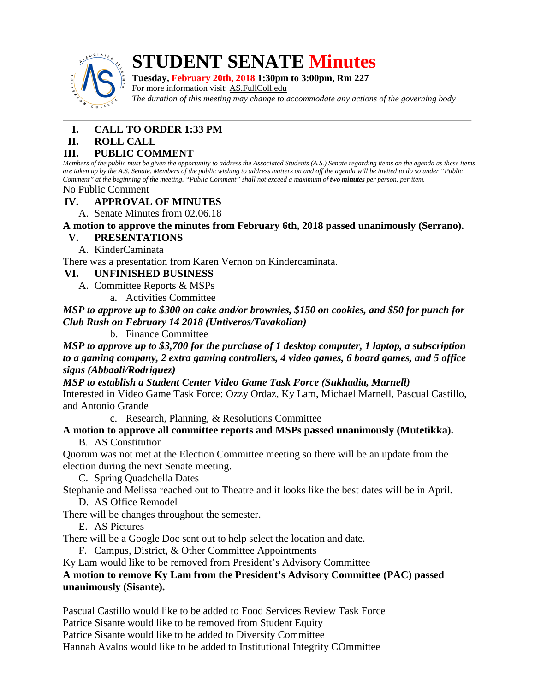

# **STUDENT SENATE Minutes**

**Tuesday, February 20th, 2018 1:30pm to 3:00pm, Rm 227** For more information visit: <u>AS.FullColl.edu</u> *The duration of this meeting may change to accommodate any actions of the governing body*

# **I. CALL TO ORDER 1:33 PM**

**II. ROLL CALL**

# **III. PUBLIC COMMENT**

*Members of the public must be given the opportunity to address the Associated Students (A.S.) Senate regarding items on the agenda as these items are taken up by the A.S. Senate. Members of the public wishing to address matters on and off the agenda will be invited to do so under "Public Comment" at the beginning of the meeting. "Public Comment" shall not exceed a maximum of two minutes per person, per item.*

No Public Comment

# **IV. APPROVAL OF MINUTES**

A. Senate Minutes from 02.06.18

# **A motion to approve the minutes from February 6th, 2018 passed unanimously (Serrano).**

#### **V. PRESENTATIONS**

A. KinderCaminata

There was a presentation from Karen Vernon on Kindercaminata.

# **VI. UNFINISHED BUSINESS**

- A. Committee Reports & MSPs
	- a. Activities Committee

*MSP to approve up to \$300 on cake and/or brownies, \$150 on cookies, and \$50 for punch for Club Rush on February 14 2018 (Untiveros/Tavakolian)*

b. Finance Committee

*MSP to approve up to \$3,700 for the purchase of 1 desktop computer, 1 laptop, a subscription to a gaming company, 2 extra gaming controllers, 4 video games, 6 board games, and 5 office signs (Abbaali/Rodriguez)*

*MSP to establish a Student Center Video Game Task Force (Sukhadia, Marnell)*

Interested in Video Game Task Force: Ozzy Ordaz, Ky Lam, Michael Marnell, Pascual Castillo, and Antonio Grande

c. Research, Planning, & Resolutions Committee

#### **A motion to approve all committee reports and MSPs passed unanimously (Mutetikka).** B. AS Constitution

Quorum was not met at the Election Committee meeting so there will be an update from the election during the next Senate meeting.

- C. Spring Quadchella Dates
- Stephanie and Melissa reached out to Theatre and it looks like the best dates will be in April. D. AS Office Remodel

There will be changes throughout the semester.

E. AS Pictures

There will be a Google Doc sent out to help select the location and date.

F. Campus, District, & Other Committee Appointments

Ky Lam would like to be removed from President's Advisory Committee

#### **A motion to remove Ky Lam from the President's Advisory Committee (PAC) passed unanimously (Sisante).**

Pascual Castillo would like to be added to Food Services Review Task Force Patrice Sisante would like to be removed from Student Equity Patrice Sisante would like to be added to Diversity Committee Hannah Avalos would like to be added to Institutional Integrity COmmittee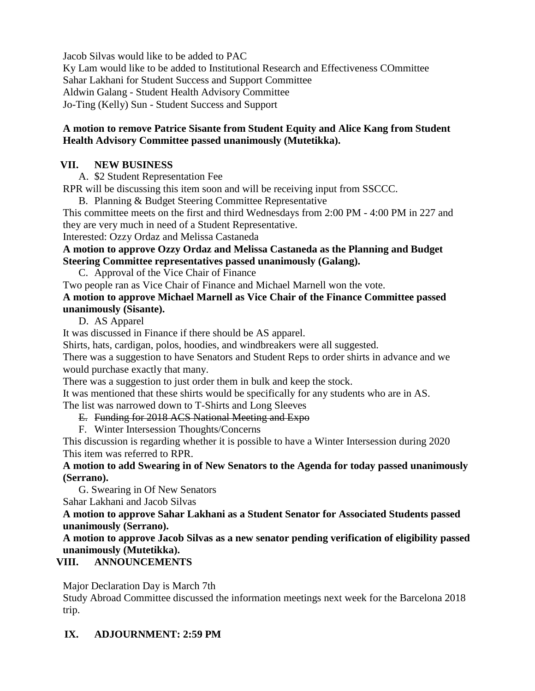Jacob Silvas would like to be added to PAC

Ky Lam would like to be added to Institutional Research and Effectiveness COmmittee Sahar Lakhani for Student Success and Support Committee Aldwin Galang - Student Health Advisory Committee Jo-Ting (Kelly) Sun - Student Success and Support

#### **A motion to remove Patrice Sisante from Student Equity and Alice Kang from Student Health Advisory Committee passed unanimously (Mutetikka).**

# **VII. NEW BUSINESS**

A. \$2 Student Representation Fee

RPR will be discussing this item soon and will be receiving input from SSCCC.

B. Planning & Budget Steering Committee Representative

This committee meets on the first and third Wednesdays from 2:00 PM - 4:00 PM in 227 and they are very much in need of a Student Representative.

Interested: Ozzy Ordaz and Melissa Castaneda

# **A motion to approve Ozzy Ordaz and Melissa Castaneda as the Planning and Budget Steering Committee representatives passed unanimously (Galang).**

C. Approval of the Vice Chair of Finance

Two people ran as Vice Chair of Finance and Michael Marnell won the vote.

# **A motion to approve Michael Marnell as Vice Chair of the Finance Committee passed unanimously (Sisante).**

D. AS Apparel

It was discussed in Finance if there should be AS apparel.

Shirts, hats, cardigan, polos, hoodies, and windbreakers were all suggested.

There was a suggestion to have Senators and Student Reps to order shirts in advance and we would purchase exactly that many.

There was a suggestion to just order them in bulk and keep the stock.

It was mentioned that these shirts would be specifically for any students who are in AS. The list was narrowed down to T-Shirts and Long Sleeves

E. Funding for 2018 ACS National Meeting and Expo

F. Winter Intersession Thoughts/Concerns

This discussion is regarding whether it is possible to have a Winter Intersession during 2020 This item was referred to RPR.

# **A motion to add Swearing in of New Senators to the Agenda for today passed unanimously (Serrano).**

 G. Swearing in Of New Senators Sahar Lakhani and Jacob Silvas

# **A motion to approve Sahar Lakhani as a Student Senator for Associated Students passed unanimously (Serrano).**

# **A motion to approve Jacob Silvas as a new senator pending verification of eligibility passed unanimously (Mutetikka).**

# **VIII. ANNOUNCEMENTS**

Major Declaration Day is March 7th

Study Abroad Committee discussed the information meetings next week for the Barcelona 2018 trip.

# **IX. ADJOURNMENT: 2:59 PM**